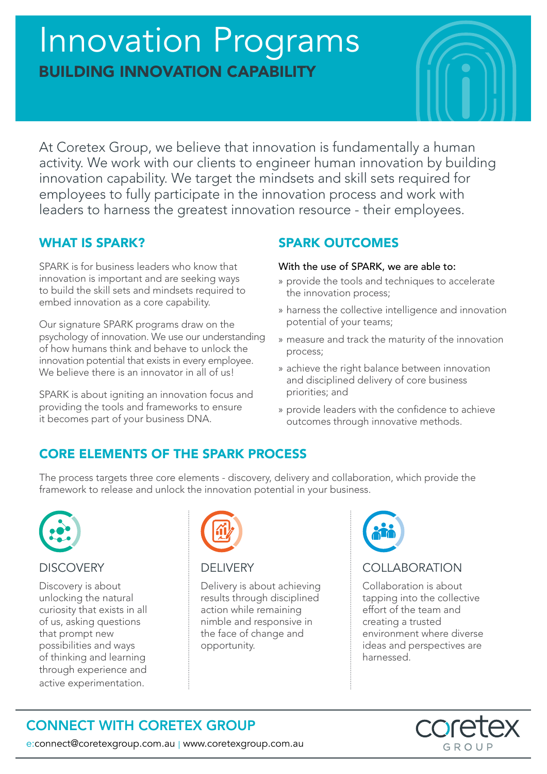# Innovation Programs BUILDING INNOVATION CAPABILITY



At Coretex Group, we believe that innovation is fundamentally a human activity. We work with our clients to engineer human innovation by building innovation capability. We target the mindsets and skill sets required for employees to fully participate in the innovation process and work with leaders to harness the greatest innovation resource - their employees.

# WHAT IS SPARK?

SPARK is for business leaders who know that innovation is important and are seeking ways to build the skill sets and mindsets required to embed innovation as a core capability.

Our signature SPARK programs draw on the psychology of innovation. We use our understanding of how humans think and behave to unlock the innovation potential that exists in every employee. We believe there is an innovator in all of us!

SPARK is about igniting an innovation focus and providing the tools and frameworks to ensure it becomes part of your business DNA.

# SPARK OUTCOMES

#### With the use of SPARK, we are able to:

- » provide the tools and techniques to accelerate the innovation process;
- » harness the collective intelligence and innovation potential of your teams;
- » measure and track the maturity of the innovation process;
- » achieve the right balance between innovation and disciplined delivery of core business priorities; and
- » provide leaders with the confidence to achieve outcomes through innovative methods.

# CORE ELEMENTS OF THE SPARK PROCESS

The process targets three core elements - discovery, delivery and collaboration, which provide the framework to release and unlock the innovation potential in your business.



## **DISCOVERY**

Discovery is about unlocking the natural curiosity that exists in all of us, asking questions that prompt new possibilities and ways of thinking and learning through experience and active experimentation.



## DELIVERY

Delivery is about achieving results through disciplined action while remaining nimble and responsive in the face of change and opportunity.



# COLLABORATION

Collaboration is about tapping into the collective effort of the team and creating a trusted environment where diverse ideas and perspectives are harnessed.

#### **AS** core GROUP

CONNECT WITH CORETEX GROUP

e:connect@coretexgroup.com.au | www.coretexgroup.com.au